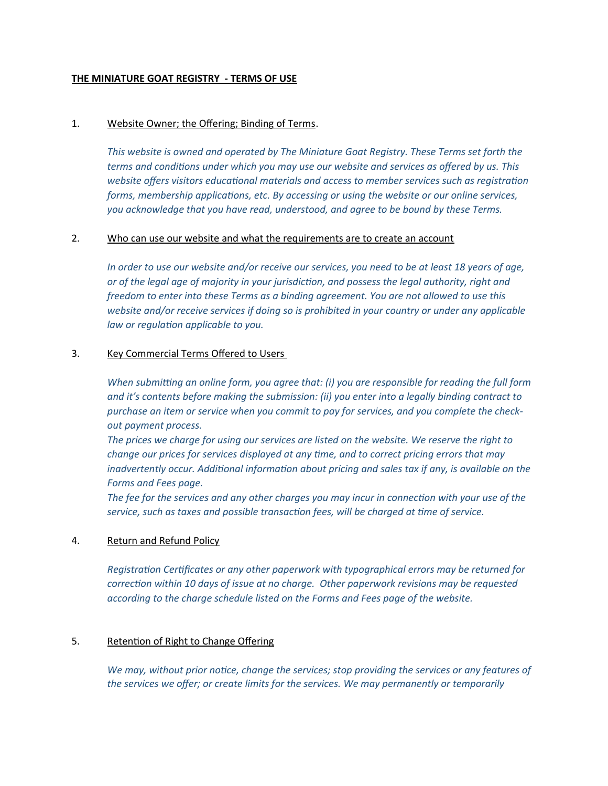# **THE MINIATURE GOAT REGISTRY - TERMS OF USE**

### 1. Website Owner; the Offering; Binding of Terms.

*This website is owned and operated by The Miniature Goat Registry. These Terms set forth the terms and conditons under which you may use our website and services as ofered by us. This website ofers visitors educatonal materials and access to member services such as registraton forms, membership applicatons, etc. By accessing or using the website or our online services, you acknowledge that you have read, understood, and agree to be bound by these Terms.*

### 2. Who can use our website and what the requirements are to create an account

*In order to use our website and/or receive our services, you need to be at least 18 years of age, or of the legal age of majority in your jurisdicton, and possess the legal authority, right and freedom to enter into these Terms as a binding agreement. You are not allowed to use this website and/or receive services if doing so is prohibited in your country or under any applicable law or regulaton applicable to you.*

### 3. Key Commercial Terms Offered to Users

*When submitting an online form, you agree that: (i) you are responsible for reading the full form and it's contents before making the submission: (ii) you enter into a legally binding contract to purchase an item or service when you commit to pay for services, and you complete the checkout payment process.*

*The prices we charge for using our services are listed on the website. We reserve the right to change our prices for services displayed at any tme, and to correct pricing errors that may*  inadvertently occur. Additional information about pricing and sales tax if any, is available on the *Forms and Fees page.*

*The fee for the services and any other charges you may incur in connecton with your use of the service, such as taxes and possible transacton fees, will be charged at tme of service.*

### 4. Return and Refund Policy

Registration Certificates or any other paperwork with typographical errors may be returned for *correcton within 10 days of issue at no charge. Other paperwork revisions may be requested according to the charge schedule listed on the Forms and Fees page of the website.*

## 5. Retention of Right to Change Offering

We may, without prior notice, change the services; stop providing the services or any features of *the services we ofer; or create limits for the services. We may permanently or temporarily*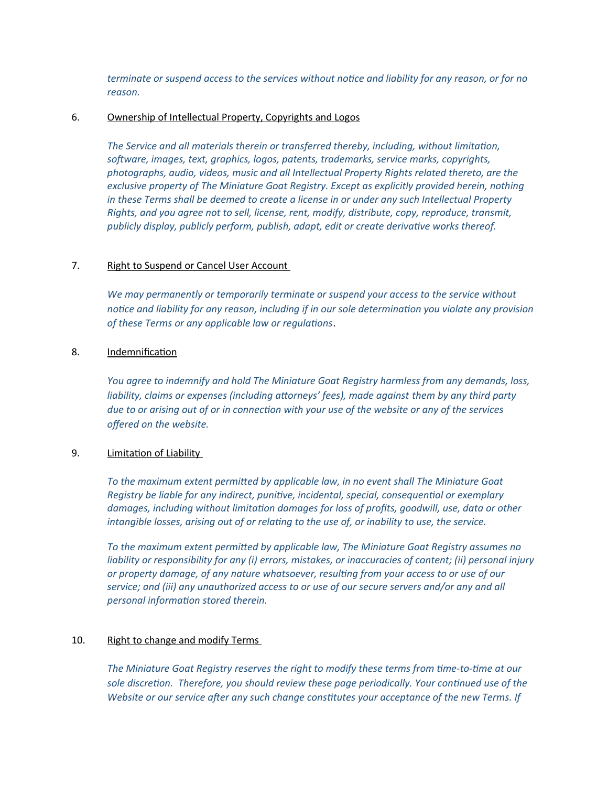*terminate or suspend access to the services without notce and liability for any reason, or for no reason.*

### 6. Ownership of Intellectual Property, Copyrights and Logos

*The Service and all materials therein or transferred thereby, including, without limitaton, software, images, text, graphics, logos, patents, trademarks, service marks, copyrights, photographs, audio, videos, music and all Intellectual Property Rights related thereto, are the exclusive property of The Miniature Goat Registry. Except as explicitly provided herein, nothing in these Terms shall be deemed to create a license in or under any such Intellectual Property Rights, and you agree not to sell, license, rent, modify, distribute, copy, reproduce, transmit,*  publicly display, publicly perform, publish, adapt, edit or create derivative works thereof.

# 7. Right to Suspend or Cancel User Account

*We may permanently or temporarily terminate or suspend your access to the service without notce and liability for any reason, including if in our sole determinaton you violate any provision of these Terms or any applicable law or regulatons*.

# 8. Indemnification

*You agree to indemnify and hold The Miniature Goat Registry harmless from any demands, loss,*  liability, claims or expenses (including attorneys' fees), made against them by any third party due to or arising out of or in connection with your use of the website or any of the services *ofered on the website.*

# 9. Limitation of Liability

*To the maximum extent permited by applicable law, in no event shall The Miniature Goat Registry be liable for any indirect, punitve, incidental, special, consequental or exemplary*  damages, including without limitation damages for loss of profits, goodwill, use, data or other *intangible losses, arising out of or relatng to the use of, or inability to use, the service.* 

*To the maximum extent permited by applicable law, The Miniature Goat Registry assumes no liability or responsibility for any (i) errors, mistakes, or inaccuracies of content; (ii) personal injury or property damage, of any nature whatsoever, resultng from your access to or use of our service; and (iii) any unauthorized access to or use of our secure servers and/or any and all personal informaton stored therein.*

### 10. Right to change and modify Terms

*The Miniature Goat Registry reserves the right to modify these terms from tme-to-tme at our*  sole discretion. Therefore, you should review these page periodically. Your continued use of the *Website or our service after any such change consttutes your acceptance of the new Terms. If*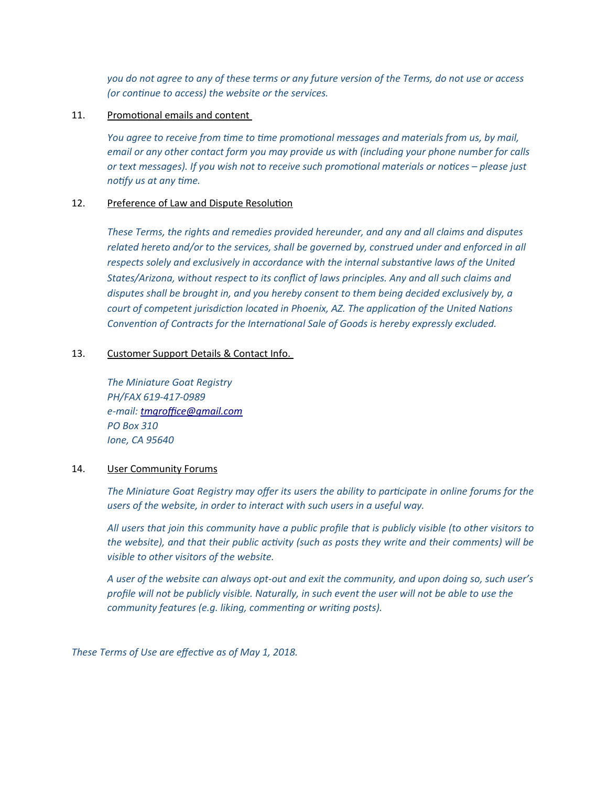*you do not agree to any of these terms or any future version of the Terms, do not use or access (or contnue to access) the website or the services.*

# 11. Promotional emails and content

*You agree to receive from tme to tme promotonal messages and materials from us, by mail, email or any other contact form you may provide us with (including your phone number for calls or text messages). If you wish not to receive such promotonal materials or notces please just notfy us at any tme.*

# 12. Preference of Law and Dispute Resolution

*These Terms, the rights and remedies provided hereunder, and any and all claims and disputes related hereto and/or to the services, shall be governed by, construed under and enforced in all*  respects solely and exclusively in accordance with the internal substantive laws of the United *States/Arizona, without respect to its confict of laws principles. Any and all such claims and disputes shall be brought in, and you hereby consent to them being decided exclusively by, a court of competent jurisdicton located in Phoenix, AZ. The applicaton of the United Natons Conventon of Contracts for the Internatonal Sale of Goods is hereby expressly excluded.*

# 13. Customer Support Details & Contact Info.

*The Miniature Goat Registry PH/FAX 619-417-0989*  $e$ -mail: tmgroffice@gmail.com *PO Box 310 Ione, CA 95640*

# 14. User Community Forums

*The Miniature Goat Registry may ofer its users the ability to partcipate in online forums for the users of the website, in order to interact with such users in a useful way.* 

All users that join this community have a public profile that is publicly visible (to other visitors to *the website), and that their public actvity (such as posts they write and their comments) will be visible to other visitors of the website.* 

*A user of the website can always opt-out and exit the community, and upon doing so, such user's* profile will not be publicly visible. Naturally, in such event the user will not be able to use the *community features (e.g. liking, commentng or writng posts).* 

These Terms of Use are effective as of May 1, 2018.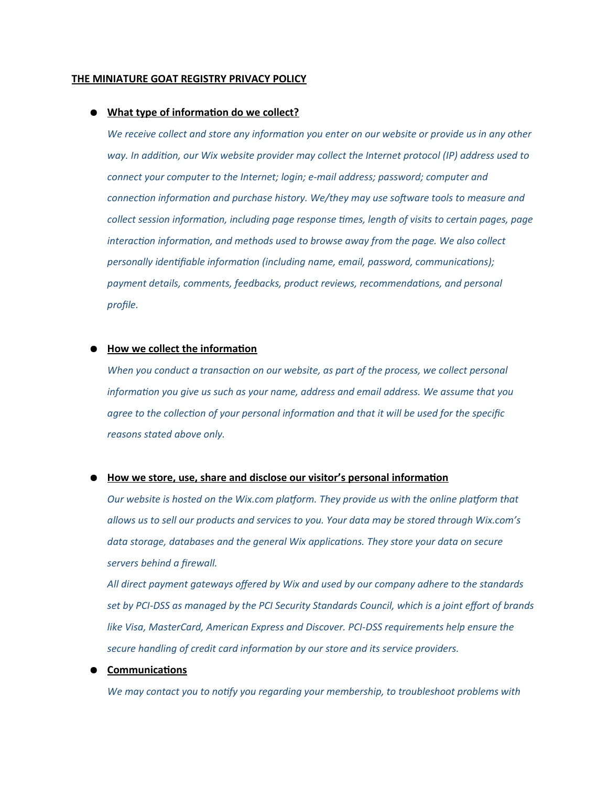#### **THE MINIATURE GOAT REGISTRY PRIVACY POLICY**

#### ● **What type of information do we collect?**

*We receive collect and store any informaton you enter on our website or provide us in any other way. In additon, our Wix website provider may collect the Internet protocol (IP) address used to connect your computer to the Internet; login; e-mail address; password; computer and connecton informaton and purchase history. We/they may use software tools to measure and collect session informaton, including page response tmes, length of visits to certain pages, page* interaction information, and methods used to browse away from the page. We also collect *personally identifiable information (including name, email, password, communications);* payment details, comments, feedbacks, product reviews, recommendations, and personal profile.

# **How we collect the information**

*When you conduct a transaction on our website, as part of the process, we collect personal information you give us such as your name, address and email address. We assume that you agree to the collecton of your personal informaton and that it will be used for the speciic reasons stated above only.*

### ● **How we store, use, share and disclose our visitor's personal information**

*Our website is hosted on the Wix.com platform. They provide us with the online platform that allows us to sell our products and services to you. Your data may be stored through Wix.com's*  data storage, databases and the general Wix applications. They store your data on secure *servers behind a irewall.* 

*All direct payment gateways ofered by Wix and used by our company adhere to the standards*  set by PCI-DSS as managed by the PCI Security Standards Council, which is a joint effort of brands *like Visa, MasterCard, American Express and Discover. PCI-DSS requirements help ensure the secure handling of credit card informaton by our store and its service providers.*

### ● **Communications**

*We may contact you to notfy you regarding your membership, to troubleshoot problems with*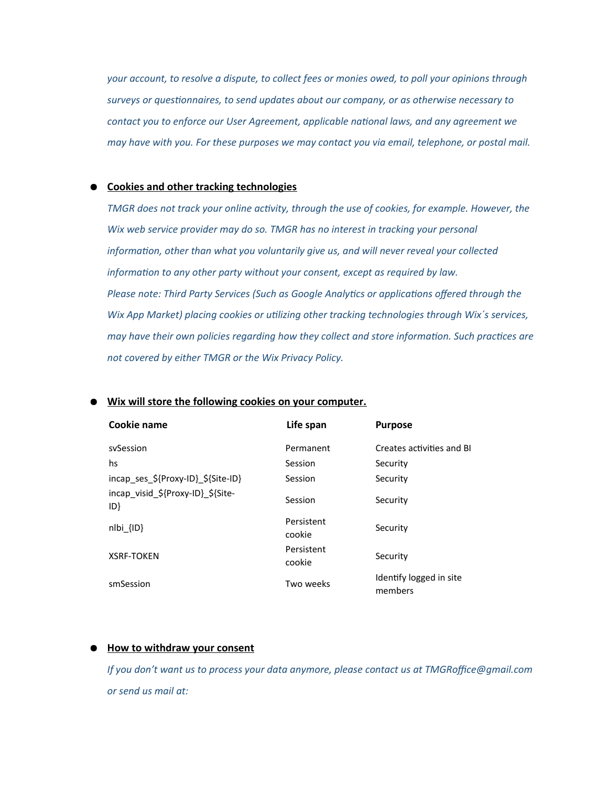*your account, to resolve a dispute, to collect fees or monies owed, to poll your opinions through surveys or questonnaires, to send updates about our company, or as otherwise necessary to contact you to enforce our User Agreement, applicable natonal laws, and any agreement we may have with you. For these purposes we may contact you via email, telephone, or postal mail.*

# ● **Cookies and other tracking technologies**

*TMGR does not track your online activity, through the use of cookies, for example. However, the Wix web service provider may do so. TMGR has no interest in tracking your personal information, other than what you voluntarily give us, and will never reveal your collected information to any other party without your consent, except as required by law.* Please note: Third Party Services (Such as Google Analytics or applications offered through the *Wix App Market) placing cookies or utlizing other tracking technologies through Wix´s services, may have their own policies regarding how they collect and store informaton. Such practces are not covered by either TMGR or the Wix Privacy Policy.*

| Cookie name                             | Life span            | <b>Purpose</b>                     |
|-----------------------------------------|----------------------|------------------------------------|
| sySession                               | Permanent            | Creates activities and BL          |
| hs                                      | Session              | Security                           |
| incap ses \${Proxy-ID} \${Site-ID}      | Session              | Security                           |
| incap visid \${Proxy-ID} \${Site-<br>ID | Session              | Security                           |
| $nI\{D\}$                               | Persistent<br>cookie | Security                           |
| <b>XSRF-TOKEN</b>                       | Persistent<br>cookie | Security                           |
| smSession                               | Two weeks            | Identify logged in site<br>members |

#### **Wix will store the following cookies on your computer.**

#### ● **How to withdraw your consent**

*If you don't want us to process your data anymore, please contact us at TMGRoffice@gmail.com or send us mail at:*